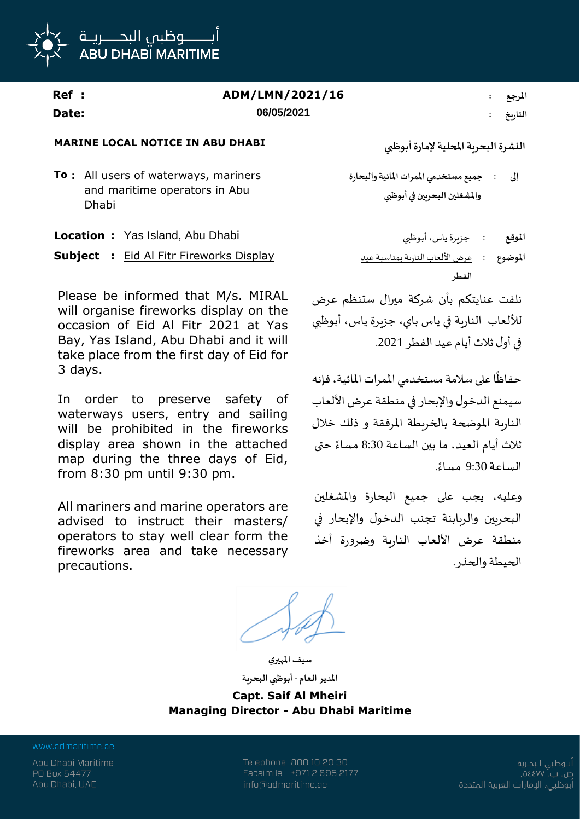

| Ref : | ADM/LMN/2021/16 | المرجع  |
|-------|-----------------|---------|
| Date: | 06/05/2021      | التاريخ |

## **MARINE LOCAL NOTICE IN ABU DHABI**

**To :** All users of waterways, mariners and maritime operators in Abu Dhabi

**Location :** Yas Island, Abu Dhabi أبوظبي ،ياس جزيرة **: املوقع**

**Subject** : Eid Al Fitr Fireworks Display

Please be informed that M/s. MIRAL will organise fireworks display on the occasion of Eid Al Fitr 2021 at Yas Bay, Yas Island, Abu Dhabi and it will take place from the first day of Eid for 3 days.

In order to preserve safety of waterways users, entry and sailing will be prohibited in the fireworks display area shown in the attached map during the three days of Eid, from 8:30 pm until 9:30 pm.

All mariners and marine operators are advised to instruct their masters/ operators to stay well clear form the fireworks area and take necessary precautions.

**النشرةالبحريةاملحلية إلمارةأبوظبي**

**جميع مستخدمي املمرات املائيةوالبحارة واملشغلين البحريين في أبوظبي إلى :**

الفطر **املوضوع :**

نلفت عنايتكم بأن شركة ميرال ستنظم عرض لأللعاب النارية في ياس باي، جزيرة ياس، أبوظبي فيأول ثالثأيام عيد الفطر .2021

حفاظًا على سلامة مستخدمي الممرات المائية، فإنه ا<br>آ سيمنع الدخول والإبحار في منطقة عرض الألعاب النارية املوضحة بالخريطة املرفقة و ذلك خالل ًثلاث أيام العيد، ما بين الساعة 8:30 مساءً حتى ًالساعة 9:30 مساء.

وعليه، يجب على جميع البحارة واملشغلين البحريين والربابنة تجنب الدخول والإبحار في منطقة عرض األلعاب النارية وضرورة أخذ الحيطة والحذر.

**املدير العام - أبوظبي البحرية Capt. Saif Al Mheiri Managing Director - Abu Dhabi Maritime**

**سيف املهيري**

www.admaritime.ae

Abu Dhabi Maritime PO Box 54477 Abu Dhabi, UAE

Telephone 800 10 20 30 Facsimile +971 2 695 2177 info@admaritime.ae

أبــوظبي البحــرية ص. ب. ٧٧] ٥٤ أبوظبي، الإمارات العربية المتحدة